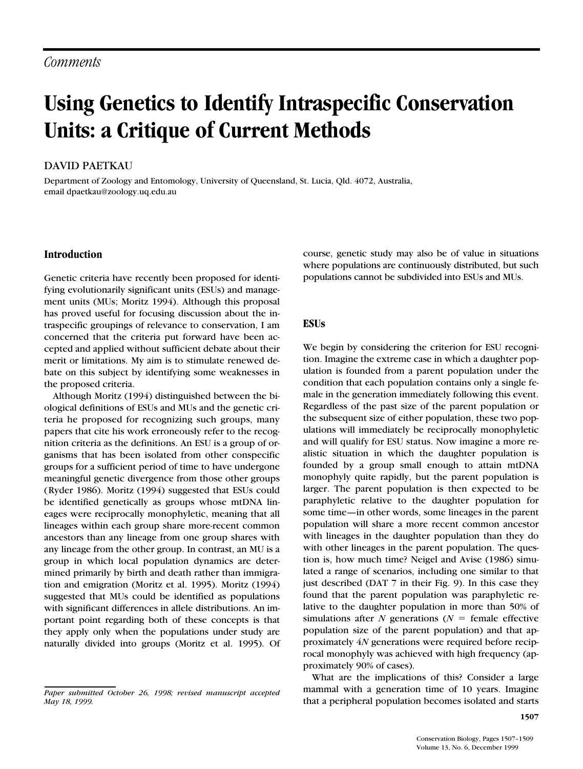# **Using Genetics to Identify Intraspecific Conservation Units: a Critique of Current Methods**

# DAVID PAETKAU

Department of Zoology and Entomology, University of Queensland, St. Lucia, Qld. 4072, Australia, email dpaetkau@zoology.uq.edu.au

# **Introduction**

Genetic criteria have recently been proposed for identifying evolutionarily significant units (ESUs) and management units (MUs; Moritz 1994). Although this proposal has proved useful for focusing discussion about the intraspecific groupings of relevance to conservation, I am concerned that the criteria put forward have been accepted and applied without sufficient debate about their merit or limitations. My aim is to stimulate renewed debate on this subject by identifying some weaknesses in the proposed criteria.

Although Moritz (1994) distinguished between the biological definitions of ESUs and MUs and the genetic criteria he proposed for recognizing such groups, many papers that cite his work erroneously refer to the recognition criteria as the definitions. An ESU is a group of organisms that has been isolated from other conspecific groups for a sufficient period of time to have undergone meaningful genetic divergence from those other groups (Ryder 1986). Moritz (1994) suggested that ESUs could be identified genetically as groups whose mtDNA lineages were reciprocally monophyletic, meaning that all lineages within each group share more-recent common ancestors than any lineage from one group shares with any lineage from the other group. In contrast, an MU is a group in which local population dynamics are determined primarily by birth and death rather than immigration and emigration (Moritz et al. 1995). Moritz (1994) suggested that MUs could be identified as populations with significant differences in allele distributions. An important point regarding both of these concepts is that they apply only when the populations under study are naturally divided into groups (Moritz et al. 1995). Of course, genetic study may also be of value in situations where populations are continuously distributed, but such populations cannot be subdivided into ESUs and MUs.

# **ESUs**

We begin by considering the criterion for ESU recognition. Imagine the extreme case in which a daughter population is founded from a parent population under the condition that each population contains only a single female in the generation immediately following this event. Regardless of the past size of the parent population or the subsequent size of either population, these two populations will immediately be reciprocally monophyletic and will qualify for ESU status. Now imagine a more realistic situation in which the daughter population is founded by a group small enough to attain mtDNA monophyly quite rapidly, but the parent population is larger. The parent population is then expected to be paraphyletic relative to the daughter population for some time—in other words, some lineages in the parent population will share a more recent common ancestor with lineages in the daughter population than they do with other lineages in the parent population. The question is, how much time? Neigel and Avise (1986) simulated a range of scenarios, including one similar to that just described (DAT 7 in their Fig. 9). In this case they found that the parent population was paraphyletic relative to the daughter population in more than 50% of simulations after  $N$  generations  $(N =$  female effective population size of the parent population) and that approximately 4*N* generations were required before reciprocal monophyly was achieved with high frequency (approximately 90% of cases).

What are the implications of this? Consider a large mammal with a generation time of 10 years. Imagine that a peripheral population becomes isolated and starts

*Paper submitted October 26, 1998; revised manuscript accepted May 18, 1999.*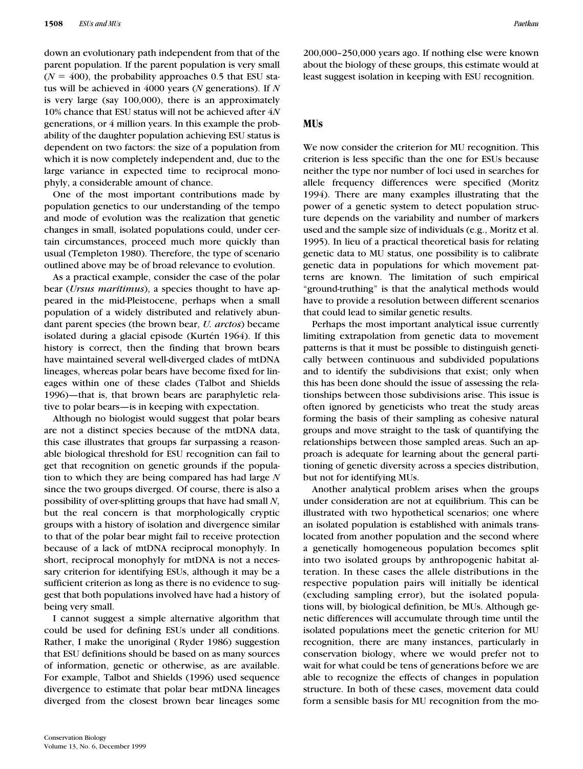down an evolutionary path independent from that of the parent population. If the parent population is very small  $(N = 400)$ , the probability approaches 0.5 that ESU status will be achieved in 4000 years (*N* generations). If *N* is very large (say 100,000), there is an approximately 10% chance that ESU status will not be achieved after 4*N* generations, or 4 million years. In this example the probability of the daughter population achieving ESU status is dependent on two factors: the size of a population from which it is now completely independent and, due to the large variance in expected time to reciprocal monophyly, a considerable amount of chance.

One of the most important contributions made by population genetics to our understanding of the tempo and mode of evolution was the realization that genetic changes in small, isolated populations could, under certain circumstances, proceed much more quickly than usual (Templeton 1980). Therefore, the type of scenario outlined above may be of broad relevance to evolution.

As a practical example, consider the case of the polar bear (*Ursus maritimus*), a species thought to have appeared in the mid-Pleistocene, perhaps when a small population of a widely distributed and relatively abundant parent species (the brown bear, *U. arctos*) became isolated during a glacial episode (Kurtén 1964). If this history is correct, then the finding that brown bears have maintained several well-diverged clades of mtDNA lineages, whereas polar bears have become fixed for lineages within one of these clades (Talbot and Shields 1996)—that is, that brown bears are paraphyletic relative to polar bears—is in keeping with expectation.

Although no biologist would suggest that polar bears are not a distinct species because of the mtDNA data, this case illustrates that groups far surpassing a reasonable biological threshold for ESU recognition can fail to get that recognition on genetic grounds if the population to which they are being compared has had large *N* since the two groups diverged. Of course, there is also a possibility of over-splitting groups that have had small *N*, but the real concern is that morphologically cryptic groups with a history of isolation and divergence similar to that of the polar bear might fail to receive protection because of a lack of mtDNA reciprocal monophyly. In short, reciprocal monophyly for mtDNA is not a necessary criterion for identifying ESUs, although it may be a sufficient criterion as long as there is no evidence to suggest that both populations involved have had a history of being very small.

I cannot suggest a simple alternative algorithm that could be used for defining ESUs under all conditions. Rather, I make the unoriginal ( Ryder 1986) suggestion that ESU definitions should be based on as many sources of information, genetic or otherwise, as are available. For example, Talbot and Shields (1996) used sequence divergence to estimate that polar bear mtDNA lineages diverged from the closest brown bear lineages some

200,000–250,000 years ago. If nothing else were known about the biology of these groups, this estimate would at least suggest isolation in keeping with ESU recognition.

#### **MUs**

We now consider the criterion for MU recognition. This criterion is less specific than the one for ESUs because neither the type nor number of loci used in searches for allele frequency differences were specified (Moritz 1994). There are many examples illustrating that the power of a genetic system to detect population structure depends on the variability and number of markers used and the sample size of individuals (e.g., Moritz et al. 1995). In lieu of a practical theoretical basis for relating genetic data to MU status, one possibility is to calibrate genetic data in populations for which movement patterns are known. The limitation of such empirical "ground-truthing" is that the analytical methods would have to provide a resolution between different scenarios that could lead to similar genetic results.

Perhaps the most important analytical issue currently limiting extrapolation from genetic data to movement patterns is that it must be possible to distinguish genetically between continuous and subdivided populations and to identify the subdivisions that exist; only when this has been done should the issue of assessing the relationships between those subdivisions arise. This issue is often ignored by geneticists who treat the study areas forming the basis of their sampling as cohesive natural groups and move straight to the task of quantifying the relationships between those sampled areas. Such an approach is adequate for learning about the general partitioning of genetic diversity across a species distribution, but not for identifying MUs.

Another analytical problem arises when the groups under consideration are not at equilibrium. This can be illustrated with two hypothetical scenarios; one where an isolated population is established with animals translocated from another population and the second where a genetically homogeneous population becomes split into two isolated groups by anthropogenic habitat alteration. In these cases the allele distributions in the respective population pairs will initially be identical (excluding sampling error), but the isolated populations will, by biological definition, be MUs. Although genetic differences will accumulate through time until the isolated populations meet the genetic criterion for MU recognition, there are many instances, particularly in conservation biology, where we would prefer not to wait for what could be tens of generations before we are able to recognize the effects of changes in population structure. In both of these cases, movement data could form a sensible basis for MU recognition from the mo